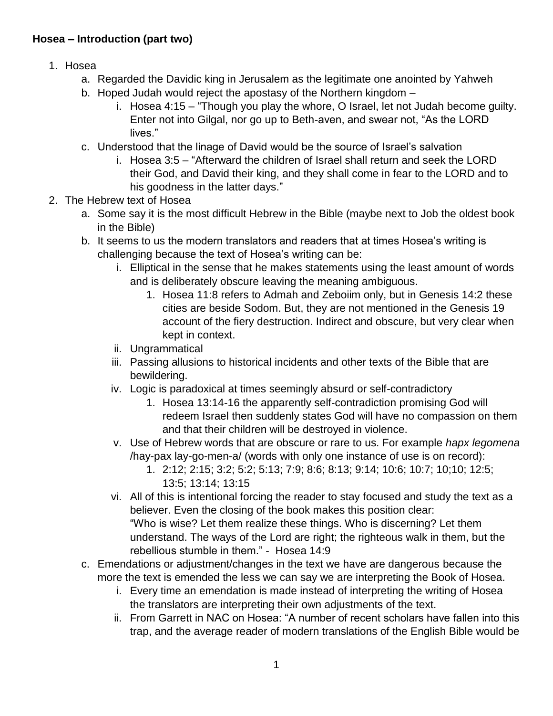## **Hosea – Introduction (part two)**

- 1. Hosea
	- a. Regarded the Davidic king in Jerusalem as the legitimate one anointed by Yahweh
	- b. Hoped Judah would reject the apostasy of the Northern kingdom
		- i. Hosea 4:15 "Though you play the whore, O Israel, let not Judah become guilty. Enter not into Gilgal, nor go up to Beth-aven, and swear not, "As the LORD lives."
	- c. Understood that the linage of David would be the source of Israel's salvation
		- i. Hosea 3:5 "Afterward the children of Israel shall return and seek the LORD their God, and David their king, and they shall come in fear to the LORD and to his goodness in the latter days."
- 2. The Hebrew text of Hosea
	- a. Some say it is the most difficult Hebrew in the Bible (maybe next to Job the oldest book in the Bible)
	- b. It seems to us the modern translators and readers that at times Hosea's writing is challenging because the text of Hosea's writing can be:
		- i. Elliptical in the sense that he makes statements using the least amount of words and is deliberately obscure leaving the meaning ambiguous.
			- 1. Hosea 11:8 refers to Admah and Zeboiim only, but in Genesis 14:2 these cities are beside Sodom. But, they are not mentioned in the Genesis 19 account of the fiery destruction. Indirect and obscure, but very clear when kept in context.
		- ii. Ungrammatical
		- iii. Passing allusions to historical incidents and other texts of the Bible that are bewildering.
		- iv. Logic is paradoxical at times seemingly absurd or self-contradictory
			- 1. Hosea 13:14-16 the apparently self-contradiction promising God will redeem Israel then suddenly states God will have no compassion on them and that their children will be destroyed in violence.
		- v. Use of Hebrew words that are obscure or rare to us. For example *hapx legomena* /hay-pax lay-go-men-a/ (words with only one instance of use is on record):
			- 1. 2:12; 2:15; 3:2; 5:2; 5:13; 7:9; 8:6; 8:13; 9:14; 10:6; 10:7; 10;10; 12:5; 13:5; 13:14; 13:15
		- vi. All of this is intentional forcing the reader to stay focused and study the text as a believer. Even the closing of the book makes this position clear: "Who is wise? Let them realize these things. Who is discerning? Let them understand. The ways of the Lord are right; the righteous walk in them, but the rebellious stumble in them." - Hosea 14:9
	- c. Emendations or adjustment/changes in the text we have are dangerous because the more the text is emended the less we can say we are interpreting the Book of Hosea.
		- i. Every time an emendation is made instead of interpreting the writing of Hosea the translators are interpreting their own adjustments of the text.
		- ii. From Garrett in NAC on Hosea: "A number of recent scholars have fallen into this trap, and the average reader of modern translations of the English Bible would be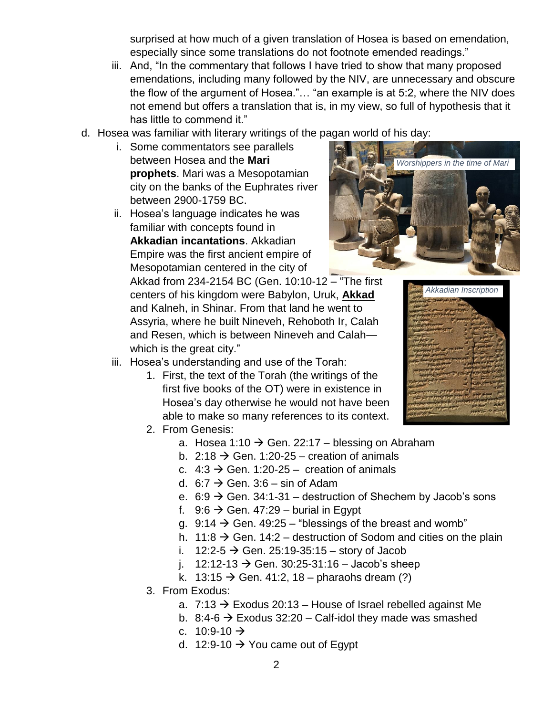surprised at how much of a given translation of Hosea is based on emendation, especially since some translations do not footnote emended readings."

- iii. And, "In the commentary that follows I have tried to show that many proposed emendations, including many followed by the NIV, are unnecessary and obscure the flow of the argument of Hosea."… "an example is at 5:2, where the NIV does not emend but offers a translation that is, in my view, so full of hypothesis that it has little to commend it."
- d. Hosea was familiar with literary writings of the pagan world of his day:
	- i. Some commentators see parallels between Hosea and the **Mari prophets**. Mari was a Mesopotamian city on the banks of the Euphrates river between 2900-1759 BC.
	- ii. Hosea's language indicates he was familiar with concepts found in **Akkadian incantations**. Akkadian Empire was the first ancient empire of Mesopotamian centered in the city of

iii. Hosea's understanding and use of the Torah:

Akkad from 234-2154 BC (Gen. 10:10-12 – "The first centers of his kingdom were Babylon, Uruk, **Akkad** and Kalneh, in Shinar. From that land he went to Assyria, where he built Nineveh, Rehoboth Ir, Calah and Resen, which is between Nineveh and Calah which is the great city."

1. First, the text of the Torah (the writings of the first five books of the OT) were in existence in Hosea's day otherwise he would not have been able to make so many references to its context.





- 2. From Genesis:
	- a. Hosea 1:10  $\rightarrow$  Gen. 22:17 blessing on Abraham
	- b. 2:18  $\rightarrow$  Gen. 1:20-25 creation of animals
	- c.  $4:3 \rightarrow$  Gen. 1:20-25 creation of animals
	- d.  $6:7 \rightarrow$  Gen. 3:6 sin of Adam
	- e. 6:9  $\rightarrow$  Gen. 34:1-31 destruction of Shechem by Jacob's sons
	- f. 9:6  $\rightarrow$  Gen. 47:29 burial in Egypt
	- g. 9:14  $\rightarrow$  Gen. 49:25 "blessings of the breast and womb"
	- h. 11:8  $\rightarrow$  Gen. 14:2 destruction of Sodom and cities on the plain
	- i. 12:2-5  $\rightarrow$  Gen. 25:19-35:15 story of Jacob
	- j. 12:12-13  $\rightarrow$  Gen. 30:25-31:16 Jacob's sheep
	- k. 13:15  $\rightarrow$  Gen. 41:2, 18 pharaohs dream (?)
- 3. From Exodus:
	- a.  $7:13 \rightarrow$  Exodus 20:13 House of Israel rebelled against Me
	- b. 8:4-6  $\rightarrow$  Exodus 32:20 Calf-idol they made was smashed
	- c.  $10:9-10 \rightarrow$
	- d. 12:9-10  $\rightarrow$  You came out of Egypt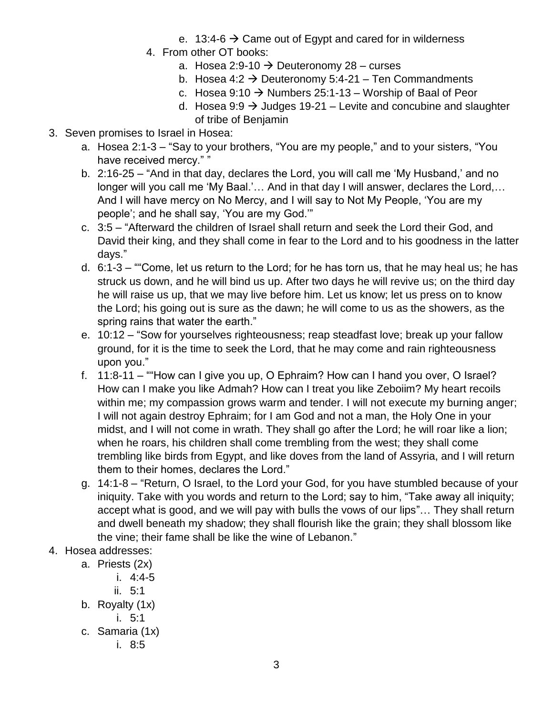- e. 13:4-6  $\rightarrow$  Came out of Egypt and cared for in wilderness
- 4. From other OT books:
	- a. Hosea 2:9-10  $\rightarrow$  Deuteronomy 28 curses
	- b. Hosea 4:2  $\rightarrow$  Deuteronomy 5:4-21 Ten Commandments
	- c. Hosea 9:10  $\rightarrow$  Numbers 25:1-13 Worship of Baal of Peor
	- d. Hosea 9:9  $\rightarrow$  Judges 19-21 Levite and concubine and slaughter of tribe of Benjamin
- 3. Seven promises to Israel in Hosea:
	- a. Hosea 2:1-3 "Say to your brothers, "You are my people," and to your sisters, "You have received mercy." "
	- b. 2:16-25 "And in that day, declares the Lord, you will call me 'My Husband,' and no longer will you call me 'My Baal.'… And in that day I will answer, declares the Lord,… And I will have mercy on No Mercy, and I will say to Not My People, 'You are my people'; and he shall say, 'You are my God.'"
	- c. 3:5 "Afterward the children of Israel shall return and seek the Lord their God, and David their king, and they shall come in fear to the Lord and to his goodness in the latter days."
	- d. 6:1-3 ""Come, let us return to the Lord; for he has torn us, that he may heal us; he has struck us down, and he will bind us up. After two days he will revive us; on the third day he will raise us up, that we may live before him. Let us know; let us press on to know the Lord; his going out is sure as the dawn; he will come to us as the showers, as the spring rains that water the earth."
	- e. 10:12 "Sow for yourselves righteousness; reap steadfast love; break up your fallow ground, for it is the time to seek the Lord, that he may come and rain righteousness upon you."
	- f. 11:8-11 ""How can I give you up, O Ephraim? How can I hand you over, O Israel? How can I make you like Admah? How can I treat you like Zeboiim? My heart recoils within me; my compassion grows warm and tender. I will not execute my burning anger; I will not again destroy Ephraim; for I am God and not a man, the Holy One in your midst, and I will not come in wrath. They shall go after the Lord; he will roar like a lion; when he roars, his children shall come trembling from the west; they shall come trembling like birds from Egypt, and like doves from the land of Assyria, and I will return them to their homes, declares the Lord."
	- g. 14:1-8 "Return, O Israel, to the Lord your God, for you have stumbled because of your iniquity. Take with you words and return to the Lord; say to him, "Take away all iniquity; accept what is good, and we will pay with bulls the vows of our lips"… They shall return and dwell beneath my shadow; they shall flourish like the grain; they shall blossom like the vine; their fame shall be like the wine of Lebanon."
- 4. Hosea addresses:
	- a. Priests (2x)
		- i. 4:4-5
		- ii. 5:1
	- b. Royalty (1x)
		- i. 5:1
	- c. Samaria (1x)
		- i. 8:5